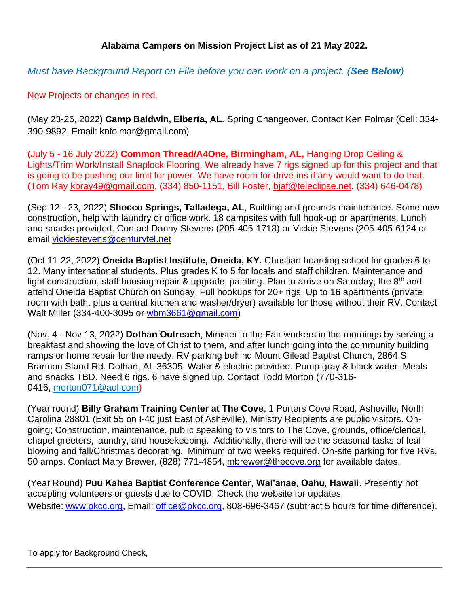## **Alabama Campers on Mission Project List as of 21 May 2022.**

## *Must have Background Report on File before you can work on a project. (See Below)*

## New Projects or changes in red.

(May 23-26, 2022) **Camp Baldwin, Elberta, AL.** Spring Changeover, Contact Ken Folmar (Cell: 334- 390-9892, Email: knfolmar@gmail.com)

(July 5 - 16 July 2022) **Common Thread/A4One, Birmingham, AL,** Hanging Drop Ceiling & Lights/Trim Work/Install Snaplock Flooring. We already have 7 rigs signed up for this project and that is going to be pushing our limit for power. We have room for drive-ins if any would want to do that. (Tom Ray [kbray49@gmail.com,](mailto:kbray49@gmail.com) (334) 850-1151, Bill Foster, [bjaf@teleclipse.net,](mailto:bjaf@teleclipse.net) (334) 646-0478)

(Sep 12 - 23, 2022) **Shocco Springs, Talladega, AL**, Building and grounds maintenance. Some new construction, help with laundry or office work. 18 campsites with full hook-up or apartments. Lunch and snacks provided. Contact Danny Stevens (205-405-1718) or Vickie Stevens (205-405-6124 or email [vickiestevens@centurytel.net](mailto:vickiestevens@centurytel.net)

(Oct 11-22, 2022) **Oneida Baptist Institute, Oneida, KY.** Christian boarding school for grades 6 to 12. Many international students. Plus grades K to 5 for locals and staff children. Maintenance and light construction, staff housing repair & upgrade, painting. Plan to arrive on Saturday, the  $8<sup>th</sup>$  and attend Oneida Baptist Church on Sunday. Full hookups for 20+ rigs. Up to 16 apartments (private room with bath, plus a central kitchen and washer/dryer) available for those without their RV. Contact Walt Miller (334-400-3095 or wbm3661@gmail.com)

(Nov. 4 - Nov 13, 2022) **Dothan Outreach**, Minister to the Fair workers in the mornings by serving a breakfast and showing the love of Christ to them, and after lunch going into the community building ramps or home repair for the needy. RV parking behind Mount Gilead Baptist Church, 2864 S Brannon Stand Rd. Dothan, AL 36305. Water & electric provided. Pump gray & black water. Meals and snacks TBD. Need 6 rigs. 6 have signed up. Contact Todd Morton (770-316- 0416, [morton071@aol.com\)](mailto:morton071@aol.com)

(Year round) **Billy Graham Training Center at The Cove**, 1 Porters Cove Road, Asheville, North Carolina 28801 (Exit 55 on I-40 just East of Asheville). Ministry Recipients are public visitors. Ongoing; Construction, maintenance, public speaking to visitors to The Cove, grounds, office/clerical, chapel greeters, laundry, and housekeeping. Additionally, there will be the seasonal tasks of leaf blowing and fall/Christmas decorating. Minimum of two weeks required. On-site parking for five RVs, 50 amps. Contact Mary Brewer, (828) 771-4854, [mbrewer@thecove.org](mailto:mbrewer@thecove.org) for available dates.

(Year Round) **Puu Kahea Baptist Conference Center, Wai'anae, Oahu, Hawaii**. Presently not accepting volunteers or guests due to COVID. Check the website for updates. Website[:](http://www.pkcc.org/) [www.pkcc.org](http://www.pkcc.org/)[,](http://www.pkcc.org/) Email: office@pkcc.org, 808-696-3467 (subtract 5 hours for time difference),